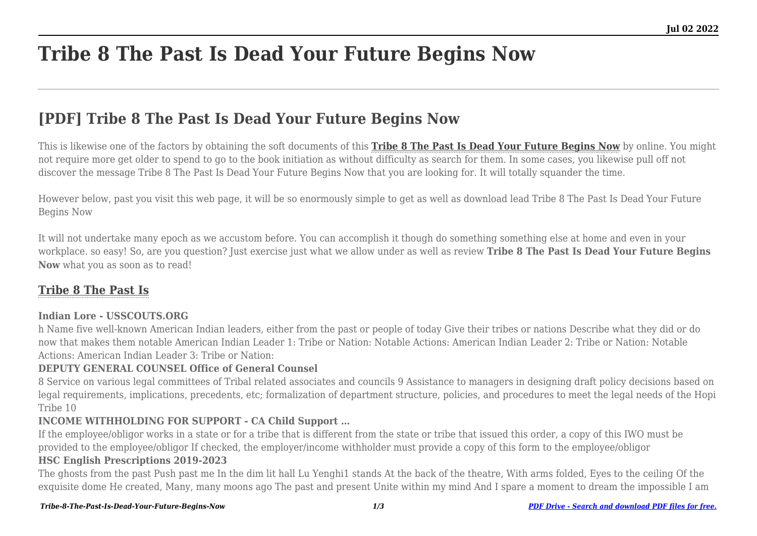# **Tribe 8 The Past Is Dead Your Future Begins Now**

# **[PDF] Tribe 8 The Past Is Dead Your Future Begins Now**

This is likewise one of the factors by obtaining the soft documents of this **[Tribe 8 The Past Is Dead Your Future Begins Now](http://theknottedllama.com)** by online. You might not require more get older to spend to go to the book initiation as without difficulty as search for them. In some cases, you likewise pull off not discover the message Tribe 8 The Past Is Dead Your Future Begins Now that you are looking for. It will totally squander the time.

However below, past you visit this web page, it will be so enormously simple to get as well as download lead Tribe 8 The Past Is Dead Your Future Begins Now

It will not undertake many epoch as we accustom before. You can accomplish it though do something something else at home and even in your workplace. so easy! So, are you question? Just exercise just what we allow under as well as review **Tribe 8 The Past Is Dead Your Future Begins Now** what you as soon as to read!

## **[Tribe 8 The Past Is](http://theknottedllama.com/Tribe-8-The-Past-Is-Dead-Your-Future-Begins-Now.pdf)**

#### **Indian Lore - USSCOUTS.ORG**

h Name five well-known American Indian leaders, either from the past or people of today Give their tribes or nations Describe what they did or do now that makes them notable American Indian Leader 1: Tribe or Nation: Notable Actions: American Indian Leader 2: Tribe or Nation: Notable Actions: American Indian Leader 3: Tribe or Nation:

#### **DEPUTY GENERAL COUNSEL Office of General Counsel**

8 Service on various legal committees of Tribal related associates and councils 9 Assistance to managers in designing draft policy decisions based on legal requirements, implications, precedents, etc; formalization of department structure, policies, and procedures to meet the legal needs of the Hopi Tribe 10

#### **INCOME WITHHOLDING FOR SUPPORT - CA Child Support …**

If the employee/obligor works in a state or for a tribe that is different from the state or tribe that issued this order, a copy of this IWO must be provided to the employee/obligor If checked, the employer/income withholder must provide a copy of this form to the employee/obligor

#### **HSC English Prescriptions 2019-2023**

The ghosts from the past Push past me In the dim lit hall Lu Yenghi1 stands At the back of the theatre, With arms folded, Eyes to the ceiling Of the exquisite dome He created, Many, many moons ago The past and present Unite within my mind And I spare a moment to dream the impossible I am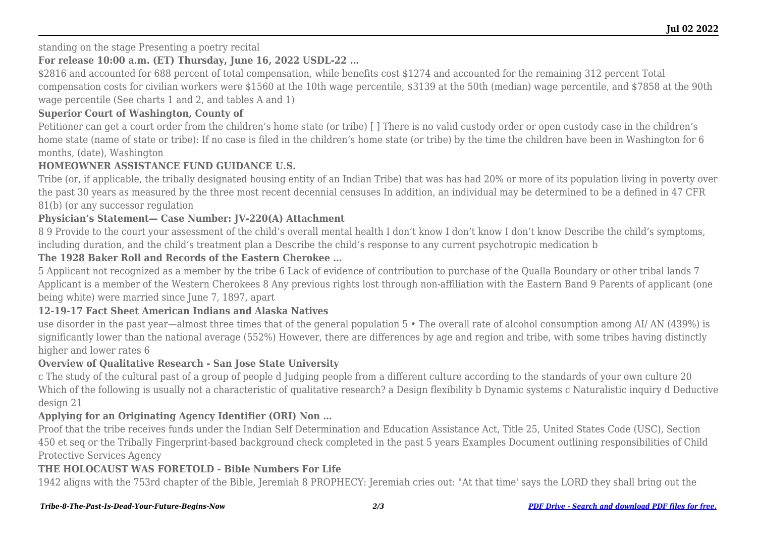standing on the stage Presenting a poetry recital

#### **For release 10:00 a.m. (ET) Thursday, June 16, 2022 USDL-22 …**

\$2816 and accounted for 688 percent of total compensation, while benefits cost \$1274 and accounted for the remaining 312 percent Total compensation costs for civilian workers were \$1560 at the 10th wage percentile, \$3139 at the 50th (median) wage percentile, and \$7858 at the 90th wage percentile (See charts 1 and 2, and tables A and 1)

#### **Superior Court of Washington, County of**

Petitioner can get a court order from the children's home state (or tribe) [] There is no valid custody order or open custody case in the children's home state (name of state or tribe): If no case is filed in the children's home state (or tribe) by the time the children have been in Washington for 6 months, (date), Washington

#### **HOMEOWNER ASSISTANCE FUND GUIDANCE U.S.**

Tribe (or, if applicable, the tribally designated housing entity of an Indian Tribe) that was has had 20% or more of its population living in poverty over the past 30 years as measured by the three most recent decennial censuses In addition, an individual may be determined to be a defined in 47 CFR 81(b) (or any successor regulation

#### **Physician's Statement— Case Number: JV-220(A) Attachment**

8 9 Provide to the court your assessment of the child's overall mental health I don't know I don't know I don't know Describe the child's symptoms, including duration, and the child's treatment plan a Describe the child's response to any current psychotropic medication b

#### **The 1928 Baker Roll and Records of the Eastern Cherokee …**

5 Applicant not recognized as a member by the tribe 6 Lack of evidence of contribution to purchase of the Qualla Boundary or other tribal lands 7 Applicant is a member of the Western Cherokees 8 Any previous rights lost through non-affiliation with the Eastern Band 9 Parents of applicant (one being white) were married since June 7, 1897, apart

#### **12-19-17 Fact Sheet American Indians and Alaska Natives**

use disorder in the past year—almost three times that of the general population 5 • The overall rate of alcohol consumption among AI/ AN (439%) is significantly lower than the national average (552%) However, there are differences by age and region and tribe, with some tribes having distinctly higher and lower rates 6

#### **Overview of Qualitative Research - San Jose State University**

c The study of the cultural past of a group of people d Judging people from a different culture according to the standards of your own culture 20 Which of the following is usually not a characteristic of qualitative research? a Design flexibility b Dynamic systems c Naturalistic inquiry d Deductive design 21

#### **Applying for an Originating Agency Identifier (ORI) Non …**

Proof that the tribe receives funds under the Indian Self Determination and Education Assistance Act, Title 25, United States Code (USC), Section 450 et seq or the Tribally Fingerprint-based background check completed in the past 5 years Examples Document outlining responsibilities of Child Protective Services Agency

#### **THE HOLOCAUST WAS FORETOLD - Bible Numbers For Life**

1942 aligns with the 753rd chapter of the Bible, Jeremiah 8 PROPHECY: Jeremiah cries out: "At that time' says the LORD they shall bring out the